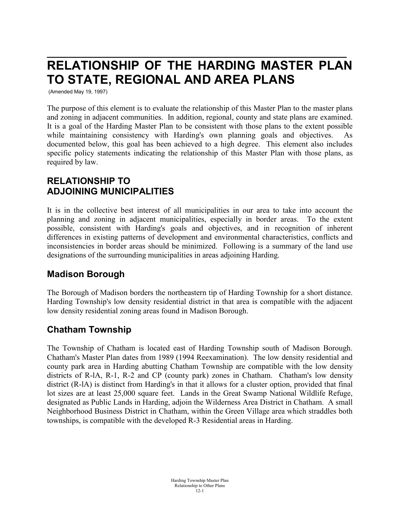# **\_\_\_\_\_\_\_\_\_\_\_\_\_\_\_\_\_\_\_\_\_\_\_\_\_\_\_\_\_\_\_\_\_\_\_\_\_\_\_\_\_\_\_\_\_\_\_\_\_\_\_\_\_\_\_ RELATIONSHIP OF THE HARDING MASTER PLAN TO STATE, REGIONAL AND AREA PLANS**

(Amended May 19, 1997)

The purpose of this element is to evaluate the relationship of this Master Plan to the master plans and zoning in adjacent communities. In addition, regional, county and state plans are examined. It is a goal of the Harding Master Plan to be consistent with those plans to the extent possible while maintaining consistency with Harding's own planning goals and objectives. As documented below, this goal has been achieved to a high degree. This element also includes specific policy statements indicating the relationship of this Master Plan with those plans, as required by law.

# **RELATIONSHIP TO ADJOINING MUNICIPALITIES**

It is in the collective best interest of all municipalities in our area to take into account the planning and zoning in adjacent municipalities, especially in border areas. To the extent possible, consistent with Harding's goals and objectives, and in recognition of inherent differences in existing patterns of development and environmental characteristics, conflicts and inconsistencies in border areas should be minimized. Following is a summary of the land use designations of the surrounding municipalities in areas adjoining Harding.

## **Madison Borough**

The Borough of Madison borders the northeastern tip of Harding Township for a short distance. Harding Township's low density residential district in that area is compatible with the adjacent low density residential zoning areas found in Madison Borough.

## **Chatham Township**

The Township of Chatham is located east of Harding Township south of Madison Borough. Chatham's Master Plan dates from 1989 (1994 Reexamination). The low density residential and county park area in Harding abutting Chatham Township are compatible with the low density districts of R-1A, R-1, R-2 and CP (county park) zones in Chatham. Chatham's low density district (R-lA) is distinct from Harding's in that it allows for a cluster option, provided that final lot sizes are at least 25,000 square feet. Lands in the Great Swamp National Wildlife Refuge, designated as Public Lands in Harding, adjoin the Wilderness Area District in Chatham. A small Neighborhood Business District in Chatham, within the Green Village area which straddles both townships, is compatible with the developed R-3 Residential areas in Harding.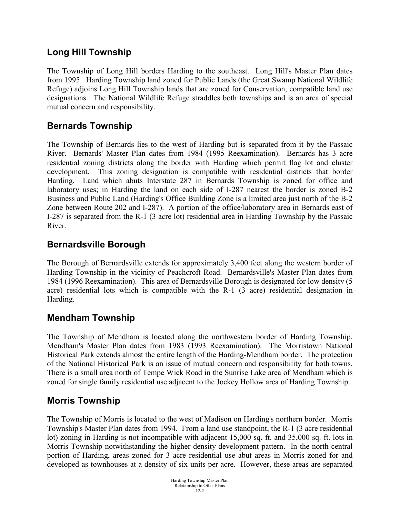# **Long Hill Township**

The Township of Long Hill borders Harding to the southeast. Long Hill's Master Plan dates from 1995. Harding Township land zoned for Public Lands (the Great Swamp National Wildlife Refuge) adjoins Long Hill Township lands that are zoned for Conservation, compatible land use designations. The National Wildlife Refuge straddles both townships and is an area of special mutual concern and responsibility.

# **Bernards Township**

The Township of Bernards lies to the west of Harding but is separated from it by the Passaic River. Bernards' Master Plan dates from 1984 (1995 Reexamination). Bernards has 3 acre residential zoning districts along the border with Harding which permit flag lot and cluster development. This zoning designation is compatible with residential districts that border Harding. Land which abuts Interstate 287 in Bernards Township is zoned for office and laboratory uses; in Harding the land on each side of I-287 nearest the border is zoned B-2 Business and Public Land (Harding's Office Building Zone is a limited area just north of the B-2 Zone between Route 202 and I-287). A portion of the office/laboratory area in Bernards east of I-287 is separated from the R-1 (3 acre lot) residential area in Harding Township by the Passaic River.

# **Bernardsville Borough**

The Borough of Bernardsville extends for approximately 3,400 feet along the western border of Harding Township in the vicinity of Peachcroft Road. Bernardsville's Master Plan dates from 1984 (1996 Reexamination). This area of Bernardsville Borough is designated for low density (5 acre) residential lots which is compatible with the R-1 (3 acre) residential designation in Harding.

## **Mendham Township**

The Township of Mendham is located along the northwestern border of Harding Township. Mendham's Master Plan dates from 1983 (1993 Reexamination). The Morristown National Historical Park extends almost the entire length of the Harding-Mendham border. The protection of the National Historical Park is an issue of mutual concern and responsibility for both towns. There is a small area north of Tempe Wick Road in the Sunrise Lake area of Mendham which is zoned for single family residential use adjacent to the Jockey Hollow area of Harding Township.

# **Morris Township**

The Township of Morris is located to the west of Madison on Harding's northern border. Morris Township's Master Plan dates from 1994. From a land use standpoint, the R-1 (3 acre residential lot) zoning in Harding is not incompatible with adjacent 15,000 sq. ft. and 35,000 sq. ft. lots in Morris Township notwithstanding the higher density development pattern. In the north central portion of Harding, areas zoned for 3 acre residential use abut areas in Morris zoned for and developed as townhouses at a density of six units per acre. However, these areas are separated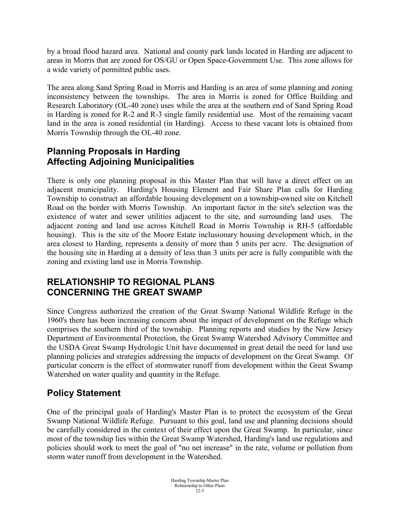by a broad flood hazard area. National and county park lands located in Harding are adjacent to areas in Morris that are zoned for OS/GU or Open Space-Government Use. This zone allows for a wide variety of permitted public uses.

The area along Sand Spring Road in Morris and Harding is an area of some planning and zoning inconsistency between the townships. The area in Morris is zoned for Office Building and Research Laboratory (OL-40 zone) uses while the area at the southern end of Sand Spring Road in Harding is zoned for R-2 and R-3 single family residential use. Most of the remaining vacant land in the area is zoned residential (in Harding). Access to these vacant lots is obtained from Morris Township through the OL-40 zone.

# **Planning Proposals in Harding Affecting Adjoining Municipalities**

There is only one planning proposal in this Master Plan that will have a direct effect on an adjacent municipality. Harding's Housing Element and Fair Share Plan calls for Harding Township to construct an affordable housing development on a township-owned site on Kitchell Road on the border with Morris Township. An important factor in the site's selection was the existence of water and sewer utilities adjacent to the site, and surrounding land uses. The adjacent zoning and land use across Kitchell Road in Morris Township is RH-5 (affordable housing). This is the site of the Moore Estate inclusionary housing development which, in the area closest to Harding, represents a density of more than 5 units per acre. The designation of the housing site in Harding at a density of less than 3 units per acre is fully compatible with the zoning and existing land use in Morris Township.

# **RELATIONSHIP TO REGIONAL PLANS CONCERNING THE GREAT SWAMP**

Since Congress authorized the creation of the Great Swamp National Wildlife Refuge in the 1960's there has been increasing concern about the impact of development on the Refuge which comprises the southern third of the township. Planning reports and studies by the New Jersey Department of Environmental Protection, the Great Swamp Watershed Advisory Committee and the USDA Great Swamp Hydrologic Unit have documented in great detail the need for land use planning policies and strategies addressing the impacts of development on the Great Swamp. Of particular concern is the effect of stormwater runoff from development within the Great Swamp Watershed on water quality and quantity in the Refuge.

# **Policy Statement**

One of the principal goals of Harding's Master Plan is to protect the ecosystem of the Great Swamp National Wildlife Refuge. Pursuant to this goal, land use and planning decisions should be carefully considered in the context of their effect upon the Great Swamp. In particular, since most of the township lies within the Great Swamp Watershed, Harding's land use regulations and policies should work to meet the goal of "no net increase" in the rate, volume or pollution from storm water runoff from development in the Watershed.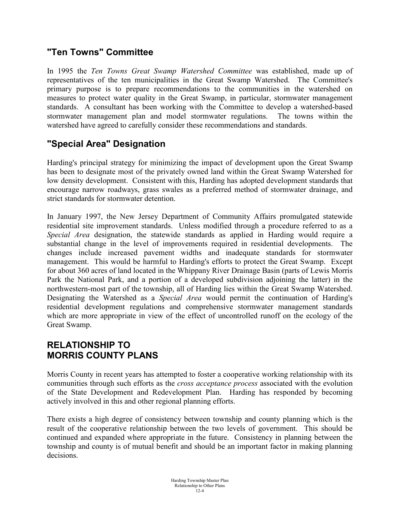## **"Ten Towns" Committee**

In 1995 the *Ten Towns Great Swamp Watershed Committee* was established, made up of representatives of the ten municipalities in the Great Swamp Watershed. The Committee's primary purpose is to prepare recommendations to the communities in the watershed on measures to protect water quality in the Great Swamp, in particular, stormwater management standards. A consultant has been working with the Committee to develop a watershed-based stormwater management plan and model stormwater regulations. The towns within the watershed have agreed to carefully consider these recommendations and standards.

# **"Special Area" Designation**

Harding's principal strategy for minimizing the impact of development upon the Great Swamp has been to designate most of the privately owned land within the Great Swamp Watershed for low density development. Consistent with this, Harding has adopted development standards that encourage narrow roadways, grass swales as a preferred method of stormwater drainage, and strict standards for stormwater detention.

In January 1997, the New Jersey Department of Community Affairs promulgated statewide residential site improvement standards. Unless modified through a procedure referred to as a *Special Area* designation, the statewide standards as applied in Harding would require a substantial change in the level of improvements required in residential developments. The changes include increased pavement widths and inadequate standards for stormwater management. This would be harmful to Harding's efforts to protect the Great Swamp. Except for about 360 acres of land located in the Whippany River Drainage Basin (parts of Lewis Morris Park the National Park, and a portion of a developed subdivision adjoining the latter) in the northwestern-most part of the township, all of Harding lies within the Great Swamp Watershed. Designating the Watershed as a *Special Area* would permit the continuation of Harding's residential development regulations and comprehensive stormwater management standards which are more appropriate in view of the effect of uncontrolled runoff on the ecology of the Great Swamp.

# **RELATIONSHIP TO MORRIS COUNTY PLANS**

Morris County in recent years has attempted to foster a cooperative working relationship with its communities through such efforts as the *cross acceptance process* associated with the evolution of the State Development and Redevelopment Plan. Harding has responded by becoming actively involved in this and other regional planning efforts.

There exists a high degree of consistency between township and county planning which is the result of the cooperative relationship between the two levels of government. This should be continued and expanded where appropriate in the future. Consistency in planning between the township and county is of mutual benefit and should be an important factor in making planning decisions.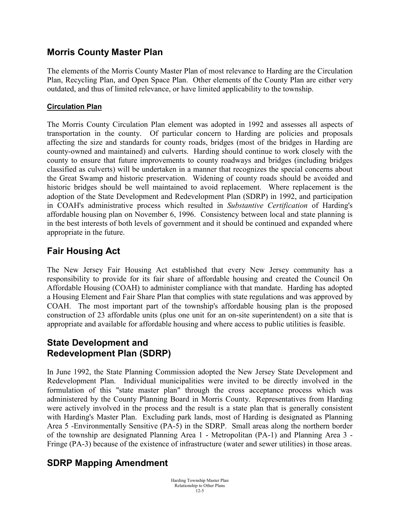## **Morris County Master Plan**

The elements of the Morris County Master Plan of most relevance to Harding are the Circulation Plan, Recycling Plan, and Open Space Plan. Other elements of the County Plan are either very outdated, and thus of limited relevance, or have limited applicability to the township.

#### **Circulation Plan**

The Morris County Circulation Plan element was adopted in 1992 and assesses all aspects of transportation in the county. Of particular concern to Harding are policies and proposals affecting the size and standards for county roads, bridges (most of the bridges in Harding are county-owned and maintained) and culverts. Harding should continue to work closely with the county to ensure that future improvements to county roadways and bridges (including bridges classified as culverts) will be undertaken in a manner that recognizes the special concerns about the Great Swamp and historic preservation. Widening of county roads should be avoided and historic bridges should be well maintained to avoid replacement. Where replacement is the adoption of the State Development and Redevelopment Plan (SDRP) in 1992, and participation in COAH's administrative process which resulted in *Substantive Certification* of Harding's affordable housing plan on November 6, 1996. Consistency between local and state planning is in the best interests of both levels of government and it should be continued and expanded where appropriate in the future.

# **Fair Housing Act**

The New Jersey Fair Housing Act established that every New Jersey community has a responsibility to provide for its fair share of affordable housing and created the Council On Affordable Housing (COAH) to administer compliance with that mandate. Harding has adopted a Housing Element and Fair Share Plan that complies with state regulations and was approved by COAH. The most important part of the township's affordable housing plan is the proposed construction of 23 affordable units (plus one unit for an on-site superintendent) on a site that is appropriate and available for affordable housing and where access to public utilities is feasible.

#### **State Development and Redevelopment Plan (SDRP)**

In June 1992, the State Planning Commission adopted the New Jersey State Development and Redevelopment Plan. Individual municipalities were invited to be directly involved in the formulation of this "state master plan" through the cross acceptance process which was administered by the County Planning Board in Morris County. Representatives from Harding were actively involved in the process and the result is a state plan that is generally consistent with Harding's Master Plan. Excluding park lands, most of Harding is designated as Planning Area 5 -Environmentally Sensitive (PA-5) in the SDRP. Small areas along the northern border of the township are designated Planning Area 1 - Metropolitan (PA-1) and Planning Area 3 - Fringe (PA-3) because of the existence of infrastructure (water and sewer utilities) in those areas.

## **SDRP Mapping Amendment**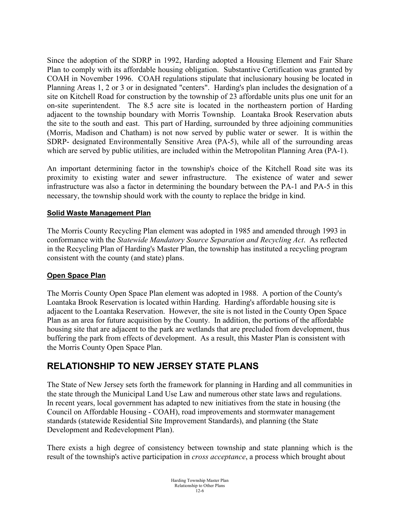Since the adoption of the SDRP in 1992, Harding adopted a Housing Element and Fair Share Plan to comply with its affordable housing obligation. Substantive Certification was granted by COAH in November 1996. COAH regulations stipulate that inclusionary housing be located in Planning Areas 1, 2 or 3 or in designated "centers". Harding's plan includes the designation of a site on Kitchell Road for construction by the township of 23 affordable units plus one unit for an on-site superintendent. The 8.5 acre site is located in the northeastern portion of Harding adjacent to the township boundary with Morris Township. Loantaka Brook Reservation abuts the site to the south and east. This part of Harding, surrounded by three adjoining communities (Morris, Madison and Chatham) is not now served by public water or sewer. It is within the SDRP- designated Environmentally Sensitive Area (PA-5), while all of the surrounding areas which are served by public utilities, are included within the Metropolitan Planning Area (PA-1).

An important determining factor in the township's choice of the Kitchell Road site was its proximity to existing water and sewer infrastructure. The existence of water and sewer infrastructure was also a factor in determining the boundary between the PA-1 and PA-5 in this necessary, the township should work with the county to replace the bridge in kind.

#### **Solid Waste Management Plan**

The Morris County Recycling Plan element was adopted in 1985 and amended through 1993 in conformance with the *Statewide Mandatory Source Separation and Recycling Act*. As reflected in the Recycling Plan of Harding's Master Plan, the township has instituted a recycling program consistent with the county (and state) plans.

#### **Open Space Plan**

The Morris County Open Space Plan element was adopted in 1988. A portion of the County's Loantaka Brook Reservation is located within Harding. Harding's affordable housing site is adjacent to the Loantaka Reservation. However, the site is not listed in the County Open Space Plan as an area for future acquisition by the County. In addition, the portions of the affordable housing site that are adjacent to the park are wetlands that are precluded from development, thus buffering the park from effects of development. As a result, this Master Plan is consistent with the Morris County Open Space Plan.

## **RELATIONSHIP TO NEW JERSEY STATE PLANS**

The State of New Jersey sets forth the framework for planning in Harding and all communities in the state through the Municipal Land Use Law and numerous other state laws and regulations. In recent years, local government has adapted to new initiatives from the state in housing (the Council on Affordable Housing - COAH), road improvements and stormwater management standards (statewide Residential Site Improvement Standards), and planning (the State Development and Redevelopment Plan).

There exists a high degree of consistency between township and state planning which is the result of the township's active participation in *cross acceptance*, a process which brought about